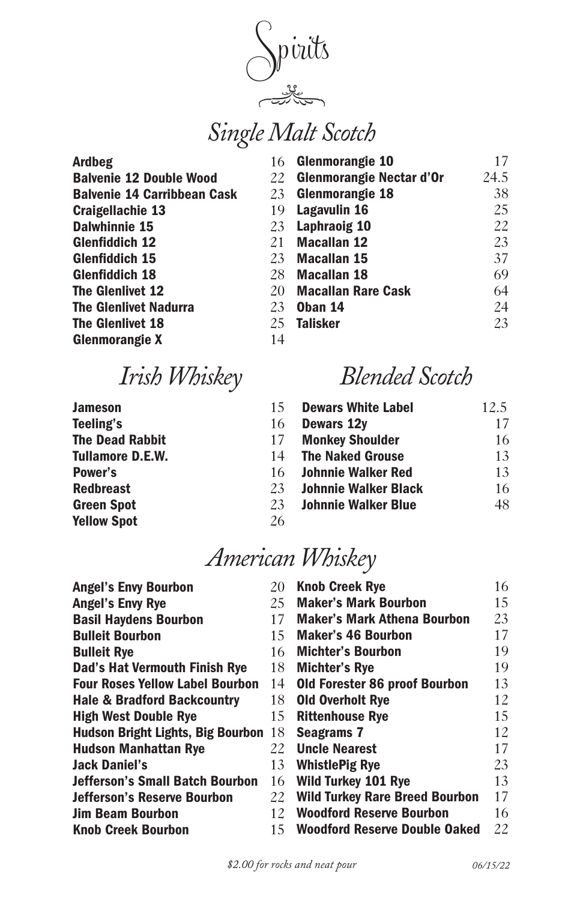Spirits

# *Single Malt Scotch*

| <b>Ardbeg</b>                      | 16 | <b>Glenmorangie 10</b>          | 17   |
|------------------------------------|----|---------------------------------|------|
| <b>Balvenie 12 Double Wood</b>     | 22 | <b>Glenmorangie Nectar d'Or</b> | 24.5 |
| <b>Balvenie 14 Carribbean Cask</b> | 23 | Glenmorangie 18                 | 38   |
| <b>Craigellachie 13</b>            | 19 | Lagavulin 16                    | 25   |
| <b>Dalwhinnie 15</b>               | 23 | <b>Laphraoig 10</b>             | 22   |
| <b>Glenfiddich 12</b>              | 21 | <b>Macallan 12</b>              | 23   |
| <b>Glenfiddich 15</b>              | 23 | <b>Macallan 15</b>              | 37   |
| <b>Glenfiddich 18</b>              | 28 | <b>Macallan 18</b>              | 69   |
| The Glenlivet 12                   | 20 | <b>Macallan Rare Cask</b>       | 64   |
| <b>The Glenlivet Nadurra</b>       | 23 | Oban 14                         | 24   |
| The Glenlivet 18                   | 25 | <b>Talisker</b>                 | 23   |
| <b>Glenmorangie X</b>              | 14 |                                 |      |

## *Irish Whiskey*

| 15. | <b>Dewars White Label</b>   | 12.5 |
|-----|-----------------------------|------|
| 16  | Dewars 12y                  | 17   |
| 17  | <b>Monkey Shoulder</b>      | 16   |
| 14  | <b>The Naked Grouse</b>     | 13   |
| 16  | <b>Johnnie Walker Red</b>   | 13   |
| 23  | <b>Johnnie Walker Black</b> | 16   |
| 23  | <b>Johnnie Walker Blue</b>  | 48   |
| 26  |                             |      |
|     |                             |      |

*Blended Scotch*

#### *American Whiskey*

| <b>Angel's Envy Bourbon</b>            | 20  | <b>Knob Creek Rye</b>                | 16  |
|----------------------------------------|-----|--------------------------------------|-----|
| <b>Angel's Envy Rye</b>                | 25  | <b>Maker's Mark Bourbon</b>          | 15  |
| <b>Basil Haydens Bourbon</b>           | 17  | <b>Maker's Mark Athena Bourbon</b>   | 23  |
| <b>Bulleit Bourbon</b>                 | 15  | <b>Maker's 46 Bourbon</b>            | 17  |
| <b>Bulleit Rye</b>                     | 16  | <b>Michter's Bourbon</b>             | 19  |
| Dad's Hat Vermouth Finish Rye          | 18  | <b>Michter's Rye</b>                 | 19  |
| <b>Four Roses Yellow Label Bourbon</b> | 14  | <b>Old Forester 86 proof Bourbon</b> | 13  |
| <b>Hale &amp; Bradford Backcountry</b> | 18  | <b>Old Overholt Rye</b>              | 12. |
| <b>High West Double Rye</b>            | 15  | <b>Rittenhouse Rye</b>               | 15  |
| Hudson Bright Lights, Big Bourbon      | 18  | <b>Seagrams 7</b>                    | 12  |
| <b>Hudson Manhattan Rye</b>            | 22  | <b>Uncle Nearest</b>                 | 17  |
| <b>Jack Daniel's</b>                   | 13  | <b>WhistlePig Rye</b>                | 23  |
| <b>Jefferson's Small Batch Bourbon</b> | 16  | <b>Wild Turkey 101 Rye</b>           | 13  |
| <b>Jefferson's Reserve Bourbon</b>     |     | 22 Wild Turkey Rare Breed Bourbon    | 17  |
| <b>Jim Beam Bourbon</b>                | 12  | <b>Woodford Reserve Bourbon</b>      | 16  |
| <b>Knob Creek Bourbon</b>              | 15. | <b>Woodford Reserve Double Oaked</b> | 22  |